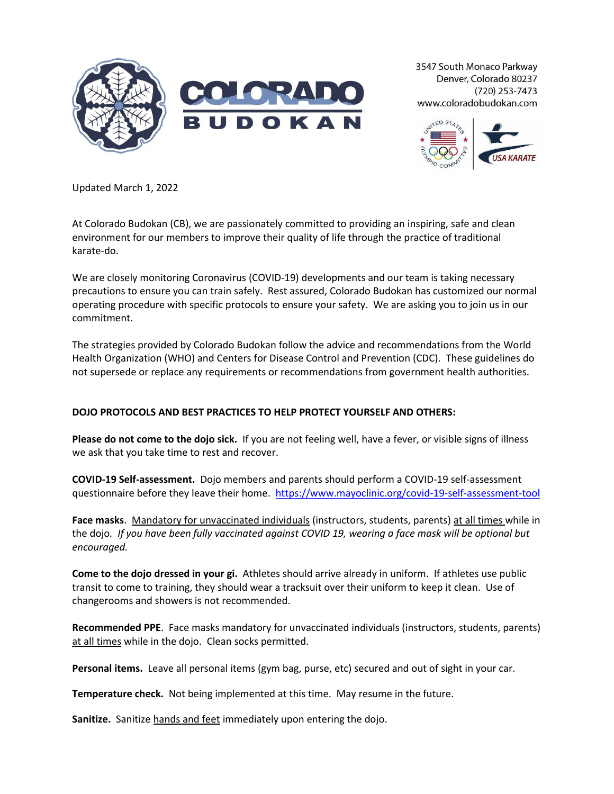

3547 South Monaco Parkway Denver, Colorado 80237 (720) 253-7473 www.coloradobudokan.com



Updated March 1, 2022

At Colorado Budokan (CB), we are passionately committed to providing an inspiring, safe and clean environment for our members to improve their quality of life through the practice of traditional karate-do.

We are closely monitoring Coronavirus (COVID-19) developments and our team is taking necessary precautions to ensure you can train safely. Rest assured, Colorado Budokan has customized our normal operating procedure with specific protocols to ensure your safety. We are asking you to join us in our commitment.

The strategies provided by Colorado Budokan follow the advice and recommendations from the World Health Organization (WHO) and Centers for Disease Control and Prevention (CDC). These guidelines do not supersede or replace any requirements or recommendations from government health authorities.

## **DOJO PROTOCOLS AND BEST PRACTICES TO HELP PROTECT YOURSELF AND OTHERS:**

**Please do not come to the dojo sick.** If you are not feeling well, have a fever, or visible signs of illness we ask that you take time to rest and recover.

**COVID-19 Self-assessment.** Dojo members and parents should perform a COVID-19 self-assessment questionnaire before they leave their home.<https://www.mayoclinic.org/covid-19-self-assessment-tool>

**Face masks**. Mandatory for unvaccinated individuals (instructors, students, parents) at all times while in the dojo*. If you have been fully vaccinated against COVID 19, wearing a face mask will be optional but encouraged.*

**Come to the dojo dressed in your gi.** Athletes should arrive already in uniform. If athletes use public transit to come to training, they should wear a tracksuit over their uniform to keep it clean. Use of changerooms and showers is not recommended.

**Recommended PPE**. Face masks mandatory for unvaccinated individuals (instructors, students, parents) at all times while in the dojo. Clean socks permitted.

**Personal items.** Leave all personal items (gym bag, purse, etc) secured and out of sight in your car.

**Temperature check.** Not being implemented at this time. May resume in the future.

**Sanitize.** Sanitize hands and feet immediately upon entering the dojo.